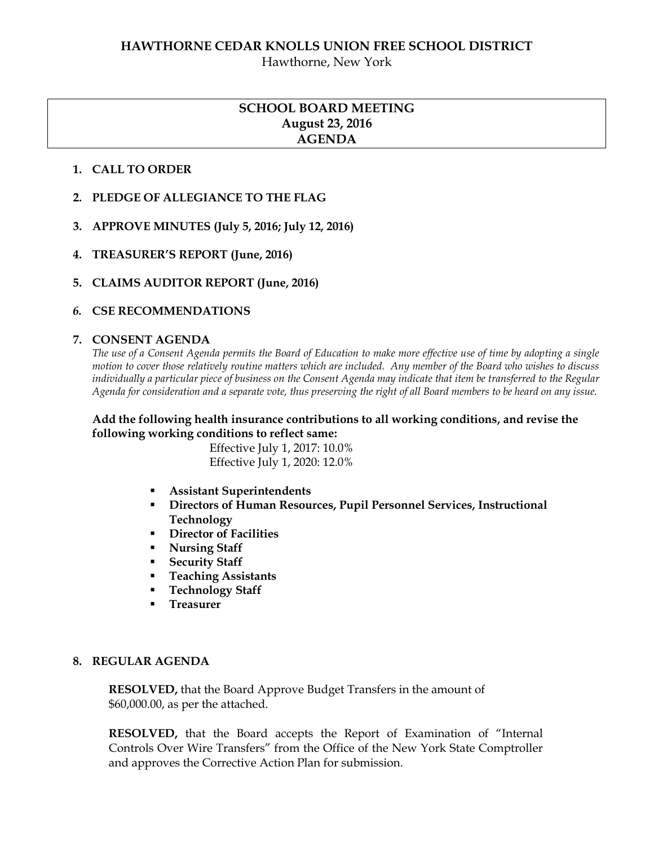# **HAWTHORNE CEDAR KNOLLS UNION FREE SCHOOL DISTRICT**

Hawthorne, New York

# **SCHOOL BOARD MEETING August 23, 2016 AGENDA**

### **1. CALL TO ORDER**

- **2. PLEDGE OF ALLEGIANCE TO THE FLAG**
- **3. APPROVE MINUTES (July 5, 2016; July 12, 2016)**
- **4. TREASURER'S REPORT (June, 2016)**
- **5. CLAIMS AUDITOR REPORT (June, 2016)**

### *6.* **CSE RECOMMENDATIONS**

#### **7. CONSENT AGENDA**

*The use of a Consent Agenda permits the Board of Education to make more effective use of time by adopting a single motion to cover those relatively routine matters which are included. Any member of the Board who wishes to discuss individually a particular piece of business on the Consent Agenda may indicate that item be transferred to the Regular Agenda for consideration and a separate vote, thus preserving the right of all Board members to be heard on any issue.* 

#### **Add the following health insurance contributions to all working conditions, and revise the following working conditions to reflect same:**

Effective July 1, 2017: 10.0% Effective July 1, 2020: 12.0%

- **Assistant Superintendents**
- **Directors of Human Resources, Pupil Personnel Services, Instructional Technology**
- **Director of Facilities**
- **Nursing Staff**
- **Security Staff**
- **Teaching Assistants**
- **Technology Staff**
- **Treasurer**

### **8. REGULAR AGENDA**

**RESOLVED,** that the Board Approve Budget Transfers in the amount of \$60,000.00, as per the attached.

**RESOLVED,** that the Board accepts the Report of Examination of "Internal Controls Over Wire Transfers" from the Office of the New York State Comptroller and approves the Corrective Action Plan for submission.